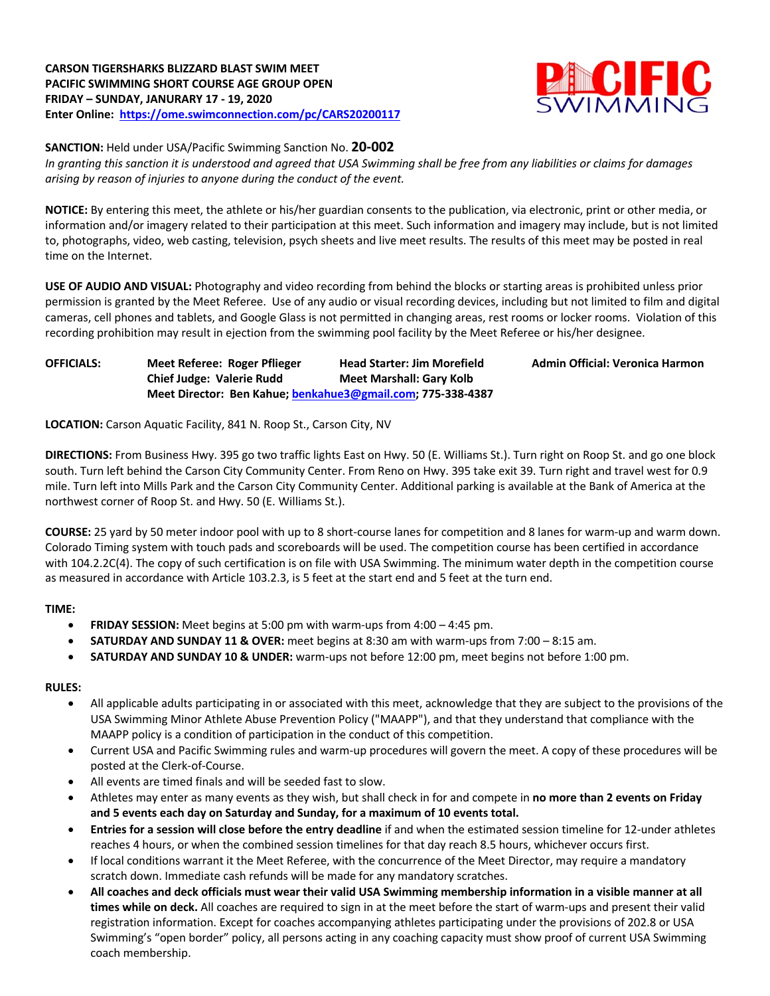

**SANCTION:** Held under USA/Pacific Swimming Sanction No. **20-002**

*In granting this sanction it is understood and agreed that USA Swimming shall be free from any liabilities or claims for damages arising by reason of injuries to anyone during the conduct of the event.*

**NOTICE:** By entering this meet, the athlete or his/her guardian consents to the publication, via electronic, print or other media, or information and/or imagery related to their participation at this meet. Such information and imagery may include, but is not limited to, photographs, video, web casting, television, psych sheets and live meet results. The results of this meet may be posted in real time on the Internet.

**USE OF AUDIO AND VISUAL:** Photography and video recording from behind the blocks or starting areas is prohibited unless prior permission is granted by the Meet Referee. Use of any audio or visual recording devices, including but not limited to film and digital cameras, cell phones and tablets, and Google Glass is not permitted in changing areas, rest rooms or locker rooms. Violation of this recording prohibition may result in ejection from the swimming pool facility by the Meet Referee or his/her designee.

# **OFFICIALS: Meet Referee: Roger Pflieger Head Starter: Jim Morefield Admin Official: Veronica Harmon Chief Judge: Valerie Rudd Meet Marshall: Gary Kolb Meet Director: Ben Kahue; benkahue3@gmail.com; 775-338-4387**

**LOCATION:** Carson Aquatic Facility, 841 N. Roop St., Carson City, NV

**DIRECTIONS:** From Business Hwy. 395 go two traffic lights East on Hwy. 50 (E. Williams St.). Turn right on Roop St. and go one block south. Turn left behind the Carson City Community Center. From Reno on Hwy. 395 take exit 39. Turn right and travel west for 0.9 mile. Turn left into Mills Park and the Carson City Community Center. Additional parking is available at the Bank of America at the northwest corner of Roop St. and Hwy. 50 (E. Williams St.).

**COURSE:** 25 yard by 50 meter indoor pool with up to 8 short-course lanes for competition and 8 lanes for warm-up and warm down. Colorado Timing system with touch pads and scoreboards will be used. The competition course has been certified in accordance with 104.2.2C(4). The copy of such certification is on file with USA Swimming. The minimum water depth in the competition course as measured in accordance with Article 103.2.3, is 5 feet at the start end and 5 feet at the turn end.

## **TIME:**

- **FRIDAY SESSION:** Meet begins at 5:00 pm with warm-ups from 4:00 4:45 pm.
- **SATURDAY AND SUNDAY 11 & OVER:** meet begins at 8:30 am with warm-ups from 7:00 8:15 am.
- **SATURDAY AND SUNDAY 10 & UNDER:** warm-ups not before 12:00 pm, meet begins not before 1:00 pm.

### **RULES:**

- All applicable adults participating in or associated with this meet, acknowledge that they are subject to the provisions of the USA Swimming Minor Athlete Abuse Prevention Policy ("MAAPP"), and that they understand that compliance with the MAAPP policy is a condition of participation in the conduct of this competition.
- Current USA and Pacific Swimming rules and warm-up procedures will govern the meet. A copy of these procedures will be posted at the Clerk-of-Course.
- All events are timed finals and will be seeded fast to slow.
- Athletes may enter as many events as they wish, but shall check in for and compete in **no more than 2 events on Friday and 5 events each day on Saturday and Sunday, for a maximum of 10 events total.**
- **Entries for a session will close before the entry deadline** if and when the estimated session timeline for 12-under athletes reaches 4 hours, or when the combined session timelines for that day reach 8.5 hours, whichever occurs first.
- If local conditions warrant it the Meet Referee, with the concurrence of the Meet Director, may require a mandatory scratch down. Immediate cash refunds will be made for any mandatory scratches.
- **All coaches and deck officials must wear their valid USA Swimming membership information in a visible manner at all times while on deck.** All coaches are required to sign in at the meet before the start of warm-ups and present their valid registration information. Except for coaches accompanying athletes participating under the provisions of 202.8 or USA Swimming's "open border" policy, all persons acting in any coaching capacity must show proof of current USA Swimming coach membership.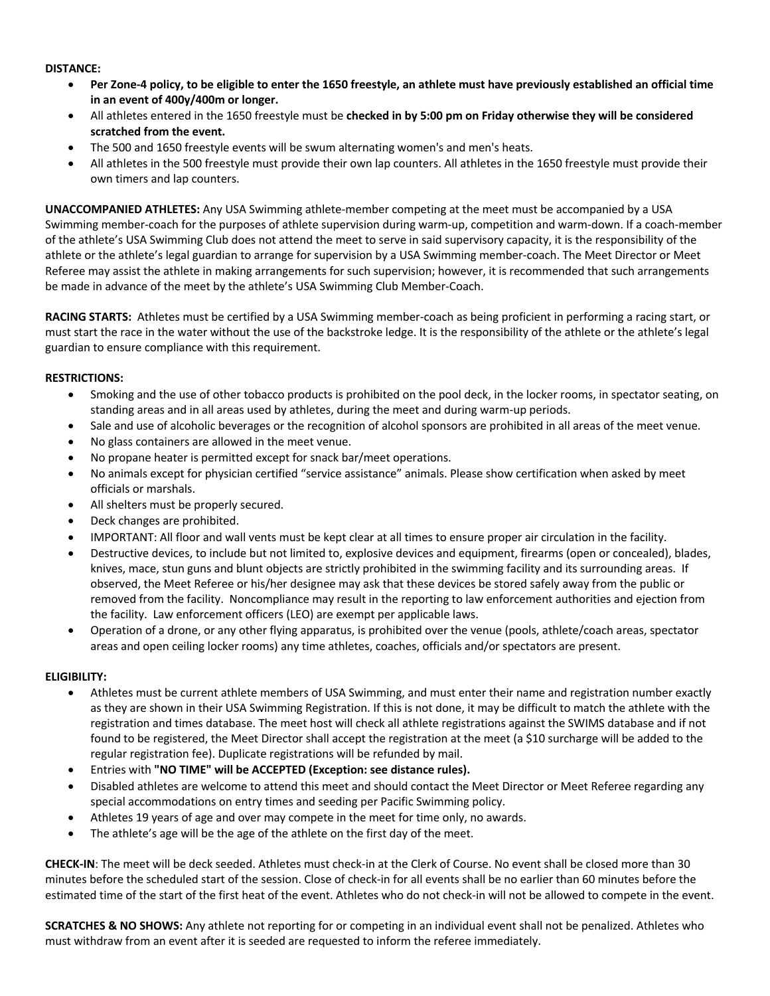#### **DISTANCE:**

- **Per Zone-4 policy, to be eligible to enter the 1650 freestyle, an athlete must have previously established an official time in an event of 400y/400m or longer.**
- All athletes entered in the 1650 freestyle must be **checked in by 5:00 pm on Friday otherwise they will be considered scratched from the event.**
- The 500 and 1650 freestyle events will be swum alternating women's and men's heats.
- All athletes in the 500 freestyle must provide their own lap counters. All athletes in the 1650 freestyle must provide their own timers and lap counters.

**UNACCOMPANIED ATHLETES:** Any USA Swimming athlete-member competing at the meet must be accompanied by a USA Swimming member-coach for the purposes of athlete supervision during warm-up, competition and warm-down. If a coach-member of the athlete's USA Swimming Club does not attend the meet to serve in said supervisory capacity, it is the responsibility of the athlete or the athlete's legal guardian to arrange for supervision by a USA Swimming member-coach. The Meet Director or Meet Referee may assist the athlete in making arrangements for such supervision; however, it is recommended that such arrangements be made in advance of the meet by the athlete's USA Swimming Club Member-Coach.

**RACING STARTS:** Athletes must be certified by a USA Swimming member-coach as being proficient in performing a racing start, or must start the race in the water without the use of the backstroke ledge. It is the responsibility of the athlete or the athlete's legal guardian to ensure compliance with this requirement.

### **RESTRICTIONS:**

- Smoking and the use of other tobacco products is prohibited on the pool deck, in the locker rooms, in spectator seating, on standing areas and in all areas used by athletes, during the meet and during warm-up periods.
- Sale and use of alcoholic beverages or the recognition of alcohol sponsors are prohibited in all areas of the meet venue.
- No glass containers are allowed in the meet venue.
- No propane heater is permitted except for snack bar/meet operations.
- No animals except for physician certified "service assistance" animals. Please show certification when asked by meet officials or marshals.
- All shelters must be properly secured.
- Deck changes are prohibited.
- IMPORTANT: All floor and wall vents must be kept clear at all times to ensure proper air circulation in the facility.
- Destructive devices, to include but not limited to, explosive devices and equipment, firearms (open or concealed), blades, knives, mace, stun guns and blunt objects are strictly prohibited in the swimming facility and its surrounding areas. If observed, the Meet Referee or his/her designee may ask that these devices be stored safely away from the public or removed from the facility. Noncompliance may result in the reporting to law enforcement authorities and ejection from the facility. Law enforcement officers (LEO) are exempt per applicable laws.
- Operation of a drone, or any other flying apparatus, is prohibited over the venue (pools, athlete/coach areas, spectator areas and open ceiling locker rooms) any time athletes, coaches, officials and/or spectators are present.

### **ELIGIBILITY:**

- Athletes must be current athlete members of USA Swimming, and must enter their name and registration number exactly as they are shown in their USA Swimming Registration. If this is not done, it may be difficult to match the athlete with the registration and times database. The meet host will check all athlete registrations against the SWIMS database and if not found to be registered, the Meet Director shall accept the registration at the meet (a \$10 surcharge will be added to the regular registration fee). Duplicate registrations will be refunded by mail.
- Entries with **"NO TIME" will be ACCEPTED (Exception: see distance rules).**
- Disabled athletes are welcome to attend this meet and should contact the Meet Director or Meet Referee regarding any special accommodations on entry times and seeding per Pacific Swimming policy.
- Athletes 19 years of age and over may compete in the meet for time only, no awards.
- The athlete's age will be the age of the athlete on the first day of the meet.

**CHECK-IN**: The meet will be deck seeded. Athletes must check-in at the Clerk of Course. No event shall be closed more than 30 minutes before the scheduled start of the session. Close of check-in for all events shall be no earlier than 60 minutes before the estimated time of the start of the first heat of the event. Athletes who do not check-in will not be allowed to compete in the event.

**SCRATCHES & NO SHOWS:** Any athlete not reporting for or competing in an individual event shall not be penalized. Athletes who must withdraw from an event after it is seeded are requested to inform the referee immediately.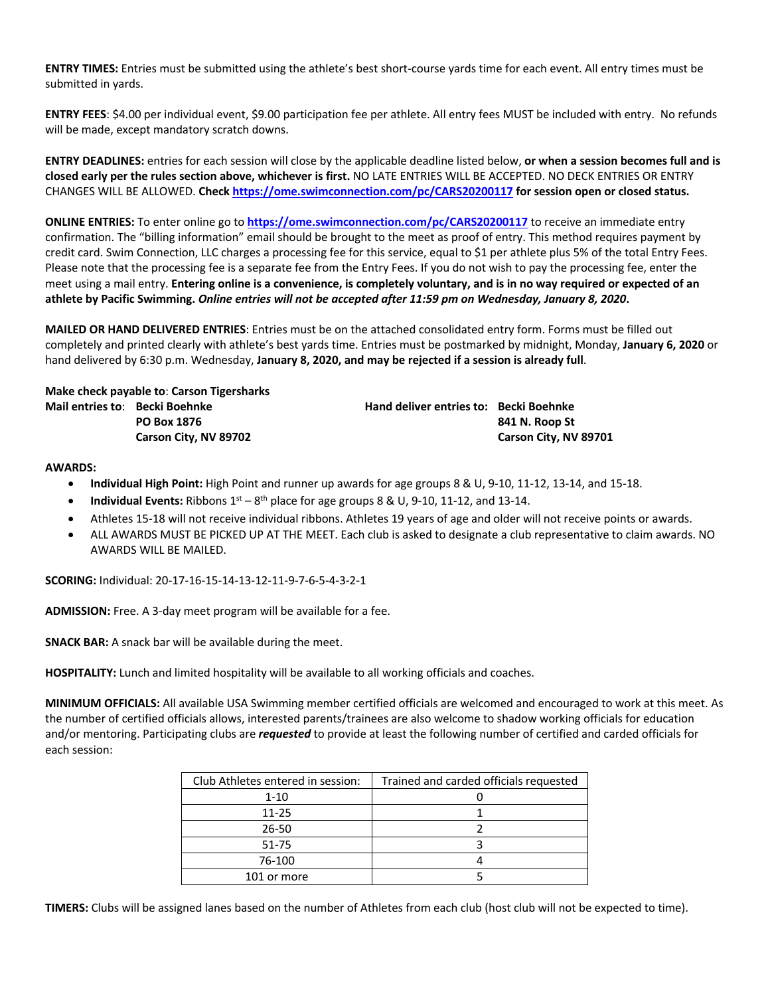**ENTRY TIMES:** Entries must be submitted using the athlete's best short-course yards time for each event. All entry times must be submitted in yards.

**ENTRY FEES**: \$4.00 per individual event, \$9.00 participation fee per athlete. All entry fees MUST be included with entry. No refunds will be made, except mandatory scratch downs.

**ENTRY DEADLINES:** entries for each session will close by the applicable deadline listed below, **or when a session becomes full and is closed early per the rules section above, whichever is first.** NO LATE ENTRIES WILL BE ACCEPTED. NO DECK ENTRIES OR ENTRY CHANGES WILL BE ALLOWED. **Check https://ome.swimconnection.com/pc/CARS20200117 for session open or closed status.**

**ONLINE ENTRIES:** To enter online go to **https://ome.swimconnection.com/pc/CARS20200117** to receive an immediate entry confirmation. The "billing information" email should be brought to the meet as proof of entry. This method requires payment by credit card. Swim Connection, LLC charges a processing fee for this service, equal to \$1 per athlete plus 5% of the total Entry Fees. Please note that the processing fee is a separate fee from the Entry Fees. If you do not wish to pay the processing fee, enter the meet using a mail entry. **Entering online is a convenience, is completely voluntary, and is in no way required or expected of an athlete by Pacific Swimming.** *Online entries will not be accepted after 11:59 pm on Wednesday, January 8, 2020***.**

**MAILED OR HAND DELIVERED ENTRIES**: Entries must be on the attached consolidated entry form. Forms must be filled out completely and printed clearly with athlete's best yards time. Entries must be postmarked by midnight, Monday, **January 6, 2020** or hand delivered by 6:30 p.m. Wednesday, **January 8, 2020, and may be rejected if a session is already full**.

**Make check payable to**: **Carson Tigersharks Mail entries to**: **Becki Boehnke Hand deliver entries to: Becki Boehnke**

**PO Box 1876 841 N. Roop St Carson City, NV 89702 Carson City, NV 89701**

#### **AWARDS:**

- **Individual High Point:** High Point and runner up awards for age groups 8 & U, 9-10, 11-12, 13-14, and 15-18.
- **Individual Events:** Ribbons  $1^{st} 8^{th}$  place for age groups 8 & U, 9-10, 11-12, and 13-14.
- Athletes 15-18 will not receive individual ribbons. Athletes 19 years of age and older will not receive points or awards.
- ALL AWARDS MUST BE PICKED UP AT THE MEET. Each club is asked to designate a club representative to claim awards. NO AWARDS WILL BE MAILED.

**SCORING:** Individual: 20-17-16-15-14-13-12-11-9-7-6-5-4-3-2-1

**ADMISSION:** Free. A 3-day meet program will be available for a fee.

**SNACK BAR:** A snack bar will be available during the meet.

**HOSPITALITY:** Lunch and limited hospitality will be available to all working officials and coaches.

**MINIMUM OFFICIALS:** All available USA Swimming member certified officials are welcomed and encouraged to work at this meet. As the number of certified officials allows, interested parents/trainees are also welcome to shadow working officials for education and/or mentoring. Participating clubs are *requested* to provide at least the following number of certified and carded officials for each session:

| Club Athletes entered in session: | Trained and carded officials requested |
|-----------------------------------|----------------------------------------|
| $1 - 10$                          |                                        |
| 11-25                             |                                        |
| 26-50                             |                                        |
| 51-75                             |                                        |
| 76-100                            |                                        |
| 101 or more                       |                                        |

**TIMERS:** Clubs will be assigned lanes based on the number of Athletes from each club (host club will not be expected to time).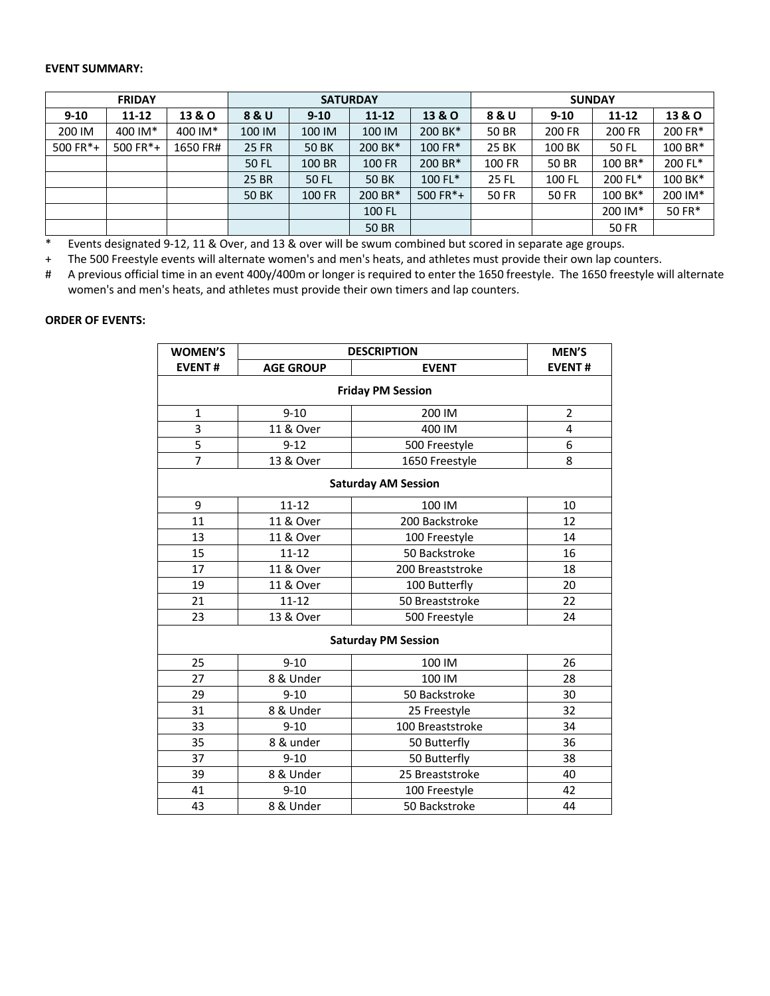## **EVENT SUMMARY:**

| <b>FRIDAY</b> |            |                   | <b>SATURDAY</b> |              |                                                   |            | <b>SUNDAY</b> |              |              |                   |  |
|---------------|------------|-------------------|-----------------|--------------|---------------------------------------------------|------------|---------------|--------------|--------------|-------------------|--|
| $9 - 10$      | $11 - 12$  | <b>13 &amp; O</b> | 8 & U           | $9 - 10$     | $11 - 12$                                         | 13 & O     | 8 & U         | $9 - 10$     | $11 - 12$    | <b>13 &amp; O</b> |  |
| 200 IM        | 400 IM*    | 400 IM*           | 100 IM          | 100 IM       | 100 IM                                            | 200 BK*    | 50 BR         | 200 FR       | 200 FR       | 200 FR*           |  |
| 500 FR*+      | 500 $FR*+$ | 1650 FR#          | 25 FR           | <b>50 BK</b> | 200 BK*                                           | 100 FR*    | 25 BK         | 100 BK       | 50 FL        | 100 BR*           |  |
|               |            |                   | 50 FL           | 100 BR       | 100 FR                                            | 200 BR*    | 100 FR        | 50 BR        | 100 BR*      | 200 FL*           |  |
|               |            |                   | 25 BR           | 50 FL        | 100 FL*<br><b>25 FL</b><br><b>50 BK</b><br>100 FL |            | 200 FL*       | 100 BK*      |              |                   |  |
|               |            |                   | <b>50 BK</b>    | 100 FR       | 200 BR*                                           | 500 $FR*+$ | 50 FR         | <b>50 FR</b> | 100 BK*      | 200 IM*           |  |
|               |            |                   |                 |              | 100 FL                                            |            |               |              | 200 IM*      | 50 FR*            |  |
|               |            |                   |                 |              | 50 BR                                             |            |               |              | <b>50 FR</b> |                   |  |

\* Events designated 9-12, 11 & Over, and 13 & over will be swum combined but scored in separate age groups.

+ The 500 Freestyle events will alternate women's and men's heats, and athletes must provide their own lap counters.

# A previous official time in an event 400y/400m or longer is required to enter the 1650 freestyle. The 1650 freestyle will alternate women's and men's heats, and athletes must provide their own timers and lap counters.

### **ORDER OF EVENTS:**

| <b>WOMEN'S</b>             | <b>DESCRIPTION</b> | <b>MEN'S</b>     |                |  |  |  |  |  |  |
|----------------------------|--------------------|------------------|----------------|--|--|--|--|--|--|
| <b>EVENT#</b>              | <b>AGE GROUP</b>   | <b>EVENT</b>     | <b>EVENT#</b>  |  |  |  |  |  |  |
| <b>Friday PM Session</b>   |                    |                  |                |  |  |  |  |  |  |
| $\mathbf{1}$               | $9 - 10$           | 200 IM           | $\overline{2}$ |  |  |  |  |  |  |
| 3                          | 11 & Over          | 400 IM           | 4              |  |  |  |  |  |  |
| $\overline{5}$             | $9 - 12$           | 500 Freestyle    | 6              |  |  |  |  |  |  |
| $\overline{7}$             | 13 & Over          | 1650 Freestyle   | 8              |  |  |  |  |  |  |
| <b>Saturday AM Session</b> |                    |                  |                |  |  |  |  |  |  |
| 9                          | $11 - 12$          | 100 IM           | 10             |  |  |  |  |  |  |
| 11                         | 11 & Over          | 200 Backstroke   | 12             |  |  |  |  |  |  |
| 13                         | 11 & Over          | 100 Freestyle    | 14             |  |  |  |  |  |  |
| 15                         | $11 - 12$          | 50 Backstroke    | 16             |  |  |  |  |  |  |
| 17                         | 11 & Over          | 200 Breaststroke | 18             |  |  |  |  |  |  |
| 19                         | 11 & Over          | 100 Butterfly    | 20             |  |  |  |  |  |  |
| 21                         | $11 - 12$          | 50 Breaststroke  | 22             |  |  |  |  |  |  |
| 23                         | 13 & Over          | 500 Freestyle    | 24             |  |  |  |  |  |  |
| <b>Saturday PM Session</b> |                    |                  |                |  |  |  |  |  |  |
| 25                         | $9 - 10$           | 100 IM           | 26             |  |  |  |  |  |  |
| 27                         | 8 & Under          | 100 IM           | 28             |  |  |  |  |  |  |
| 29                         | $9 - 10$           | 50 Backstroke    | 30             |  |  |  |  |  |  |
| 31                         | 8 & Under          | 25 Freestyle     | 32             |  |  |  |  |  |  |
| 33                         | $9 - 10$           | 100 Breaststroke | 34             |  |  |  |  |  |  |
| 35                         | 8 & under          | 50 Butterfly     | 36             |  |  |  |  |  |  |
| 37                         | $9 - 10$           | 50 Butterfly     | 38             |  |  |  |  |  |  |
| 39                         | 8 & Under          | 25 Breaststroke  | 40             |  |  |  |  |  |  |
| 41                         | $9 - 10$           | 100 Freestyle    | 42             |  |  |  |  |  |  |
| 43                         | 8 & Under          | 50 Backstroke    | 44             |  |  |  |  |  |  |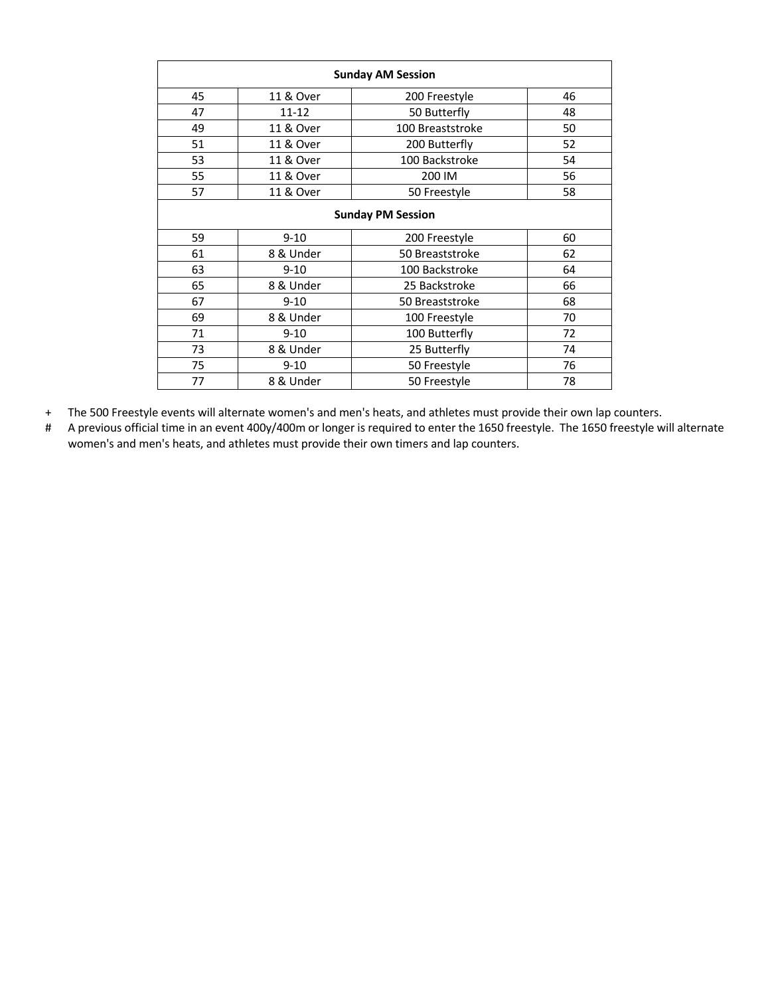| <b>Sunday AM Session</b> |                            |                  |    |  |  |  |  |
|--------------------------|----------------------------|------------------|----|--|--|--|--|
| 45                       | 11 & Over<br>200 Freestyle |                  |    |  |  |  |  |
| 47                       | $11 - 12$                  | 50 Butterfly     | 48 |  |  |  |  |
| 49                       | 11 & Over                  | 100 Breaststroke | 50 |  |  |  |  |
| 51                       | 11 & Over                  | 200 Butterfly    | 52 |  |  |  |  |
| 53                       | 11 & Over                  | 100 Backstroke   | 54 |  |  |  |  |
| 55                       | 11 & Over                  | 200 IM           | 56 |  |  |  |  |
| 57                       | 11 & Over                  | 50 Freestyle     | 58 |  |  |  |  |
| <b>Sunday PM Session</b> |                            |                  |    |  |  |  |  |
| 59                       | $9 - 10$                   | 200 Freestyle    | 60 |  |  |  |  |
| 61                       | 8 & Under                  | 50 Breaststroke  | 62 |  |  |  |  |
| 63                       | $9 - 10$                   | 100 Backstroke   | 64 |  |  |  |  |
| 65                       | 8 & Under                  | 25 Backstroke    | 66 |  |  |  |  |
| 67                       | $9 - 10$                   | 50 Breaststroke  | 68 |  |  |  |  |
| 69                       | 8 & Under                  | 100 Freestyle    | 70 |  |  |  |  |
| 71                       | $9 - 10$                   | 100 Butterfly    | 72 |  |  |  |  |
| 73                       | 8 & Under                  | 25 Butterfly     | 74 |  |  |  |  |
| 75                       | $9 - 10$                   | 50 Freestyle     | 76 |  |  |  |  |
| 77                       | 8 & Under                  | 50 Freestyle     | 78 |  |  |  |  |

+ The 500 Freestyle events will alternate women's and men's heats, and athletes must provide their own lap counters.

# A previous official time in an event 400y/400m or longer is required to enter the 1650 freestyle. The 1650 freestyle will alternate women's and men's heats, and athletes must provide their own timers and lap counters.